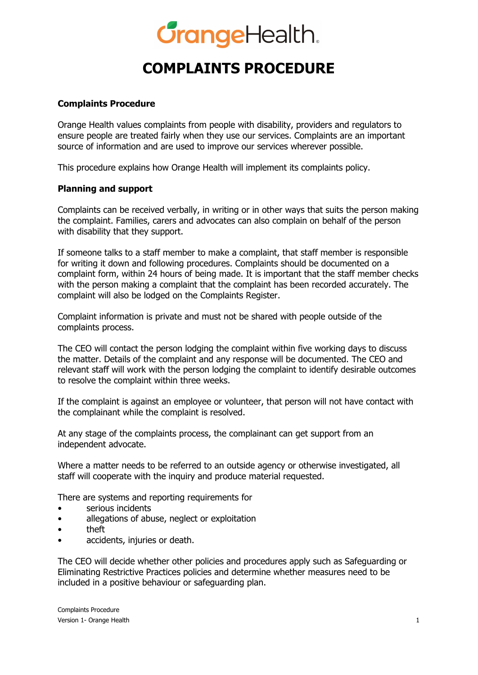# **GrangeHealth.**

### **COMPLAINTS PROCEDURE**

### **Complaints Procedure**

Orange Health values complaints from people with disability, providers and regulators to ensure people are treated fairly when they use our services. Complaints are an important source of information and are used to improve our services wherever possible.

This procedure explains how Orange Health will implement its complaints policy.

### **Planning and support**

Complaints can be received verbally, in writing or in other ways that suits the person making the complaint. Families, carers and advocates can also complain on behalf of the person with disability that they support.

If someone talks to a staff member to make a complaint, that staff member is responsible for writing it down and following procedures. Complaints should be documented on a complaint form, within 24 hours of being made. It is important that the staff member checks with the person making a complaint that the complaint has been recorded accurately. The complaint will also be lodged on the Complaints Register.

Complaint information is private and must not be shared with people outside of the complaints process.

The CEO will contact the person lodging the complaint within five working days to discuss the matter. Details of the complaint and any response will be documented. The CEO and relevant staff will work with the person lodging the complaint to identify desirable outcomes to resolve the complaint within three weeks.

If the complaint is against an employee or volunteer, that person will not have contact with the complainant while the complaint is resolved.

At any stage of the complaints process, the complainant can get support from an independent advocate.

Where a matter needs to be referred to an outside agency or otherwise investigated, all staff will cooperate with the inquiry and produce material requested.

There are systems and reporting requirements for

- serious incidents
- allegations of abuse, neglect or exploitation
- theft
- accidents, injuries or death.

The CEO will decide whether other policies and procedures apply such as Safeguarding or Eliminating Restrictive Practices policies and determine whether measures need to be included in a positive behaviour or safeguarding plan.